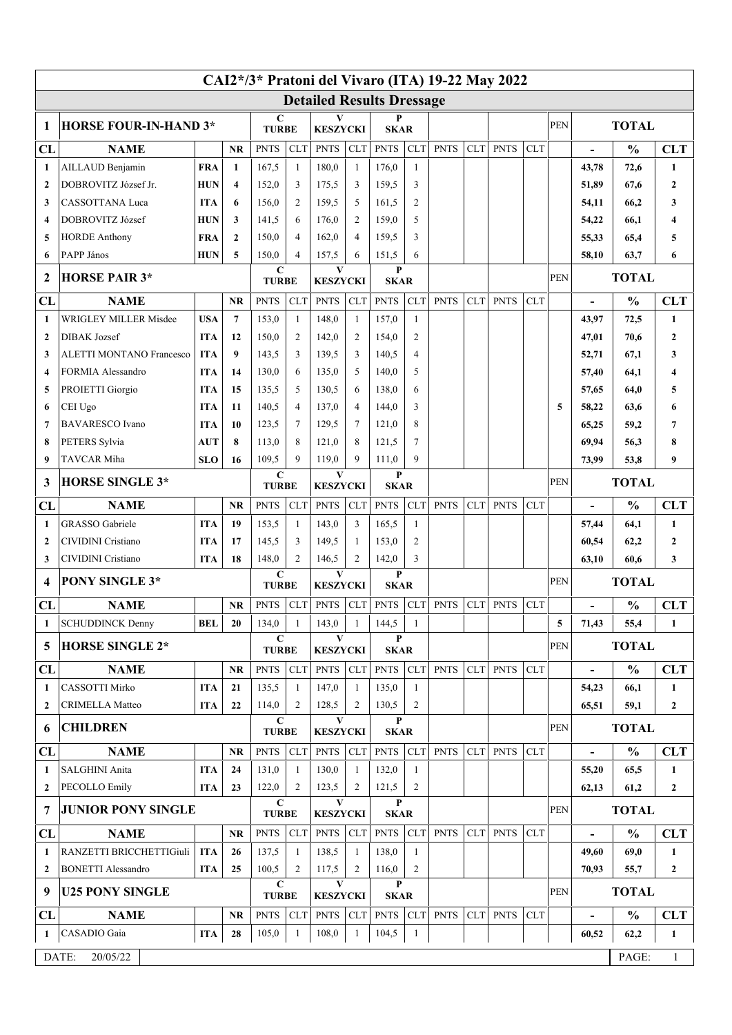| CAI2*/3* Pratoni del Vivaro (ITA) 19-22 May 2022 |                                   |                                  |                 |                             |                |                                 |                     |                             |                |             |             |              |            |                |                          |               |                  |
|--------------------------------------------------|-----------------------------------|----------------------------------|-----------------|-----------------------------|----------------|---------------------------------|---------------------|-----------------------------|----------------|-------------|-------------|--------------|------------|----------------|--------------------------|---------------|------------------|
|                                                  |                                   | <b>Detailed Results Dressage</b> |                 |                             |                |                                 |                     |                             |                |             |             |              |            |                |                          |               |                  |
| 1                                                | <b>HORSE FOUR-IN-HAND 3*</b>      |                                  |                 | $\mathbf C$<br><b>TURBE</b> |                | V<br><b>KESZYCKI</b>            |                     | P<br><b>SKAR</b>            |                |             |             |              |            | <b>PEN</b>     | <b>TOTAL</b>             |               |                  |
| CL                                               | <b>NAME</b>                       |                                  | <b>NR</b>       | <b>PNTS</b>                 | <b>CLT</b>     | <b>PNTS</b>                     | <b>CLT</b>          | <b>PNTS</b>                 | <b>CLT</b>     | <b>PNTS</b> | <b>CLT</b>  | <b>PNTS</b>  | <b>CLT</b> |                |                          | $\frac{0}{0}$ | <b>CLT</b>       |
| 1                                                | AILLAUD Benjamin                  |                                  | $\mathbf{1}$    | 167,5                       | $\mathbf{1}$   | 180,0                           | $\mathbf{1}$        | 176,0                       | $\mathbf{1}$   |             |             |              |            |                | 43,78                    | 72,6          | 1                |
| $\mathbf{2}$                                     | DOBROVITZ József Jr.              |                                  | 4               | 152,0                       | 3              | 175,5                           | 3                   | 159.5                       | 3              |             |             |              |            |                | 51,89                    | 67,6          | $\mathbf{2}$     |
| 3                                                | <b>CASSOTTANA Luca</b>            |                                  | 6               | 156,0                       | $\overline{2}$ | 159,5                           | 5                   | 161,5                       | $\overline{2}$ |             |             |              |            |                | 54,11                    | 66,2          | 3                |
| 4                                                | DOBROVITZ József                  | <b>HUN</b>                       | 3               | 141,5                       | 6              | 176,0                           | $\overline{2}$      | 159,0                       | 5              |             |             |              |            |                | 54,22                    | 66,1          | 4                |
| 5                                                | <b>HORDE Anthony</b>              | <b>FRA</b>                       | $\mathbf{2}$    | 150,0                       | 4              | 162,0                           | $\overline{4}$      | 159.5                       | 3              |             |             |              |            |                | 55,33                    | 65,4          | 5                |
| 6                                                | PAPP János                        | <b>HUN</b>                       | 5               | 150.0<br>$\mathbf C$        | $\overline{4}$ | 157,5<br>$\mathbf{V}$           | 6                   | 151,5<br>$\mathbf{P}$       | 6              |             |             |              |            |                | 58,10                    | 63,7          | 6                |
| $\mathbf{2}$                                     | <b>HORSE PAIR 3*</b>              |                                  |                 | <b>TURBE</b>                |                | <b>KESZYCKI</b>                 |                     | <b>SKAR</b>                 |                |             |             |              |            | <b>PEN</b>     | <b>TOTAL</b>             |               |                  |
| CL                                               | <b>NAME</b>                       |                                  | <b>NR</b>       | <b>PNTS</b>                 | <b>CLT</b>     | <b>PNTS</b>                     | <b>CLT</b>          | <b>PNTS</b>                 | <b>CLT</b>     | <b>PNTS</b> | <b>CLT</b>  | <b>PNTS</b>  | <b>CLT</b> |                | $\blacksquare$           | $\frac{0}{0}$ | <b>CLT</b>       |
| 1                                                | <b>WRIGLEY MILLER Misdee</b>      | <b>USA</b>                       | $7\phantom{.0}$ | 153,0                       | 1              | 148,0                           | $\mathbf{1}$        | 157,0                       | $\mathbf{1}$   |             |             |              |            |                | 43,97                    | 72,5          | 1                |
| $\overline{2}$                                   | <b>DIBAK</b> Jozsef               | <b>ITA</b>                       | 12              | 150,0                       | $\overline{2}$ | 142,0                           | $\overline{2}$      | 154,0                       | $\mathfrak{2}$ |             |             |              |            |                | 47,01                    | 70,6          | $\mathbf{2}$     |
| 3                                                | <b>ALETTI MONTANO Francesco</b>   | <b>ITA</b>                       | 9               | 143,5                       | 3              | 139.5                           | 3                   | 140,5                       | $\overline{4}$ |             |             |              |            |                | 52,71                    | 67,1          | 3                |
| 4                                                | FORMIA Alessandro                 | <b>ITA</b>                       | 14              | 130,0                       | 6              | 135,0                           | 5                   | 140,0                       | 5              |             |             |              |            |                | 57,40                    | 64,1          | 4                |
| 5                                                | PROIETTI Giorgio                  | <b>ITA</b>                       | 15              | 135,5                       | 5<br>4         | 130.5                           | 6<br>$\overline{4}$ | 138,0                       | 6<br>3         |             |             |              |            |                | 57,65                    | 64,0          | 5                |
| 6<br>7                                           | CEI Ugo<br><b>BAVARESCO</b> Ivano | <b>ITA</b><br><b>ITA</b>         | 11<br>10        | 140,5<br>123,5              | 7              | 137,0<br>129,5                  | 7                   | 144,0<br>121,0              | 8              |             |             |              |            | 5              | 58,22<br>65,25           | 63,6<br>59,2  | 6<br>7           |
| 8                                                | PETERS Sylvia                     | AUT                              | 8               | 113,0                       | 8              | 121,0                           | 8                   | 121,5                       | $\tau$         |             |             |              |            |                | 69,94                    | 56.3          | 8                |
| 9                                                | TAVCAR Miha                       | <b>SLO</b>                       | 16              | 109,5                       | 9              | 119,0                           | 9                   | 111,0                       | 9              |             |             |              |            |                | 73,99                    | 53,8          | 9                |
|                                                  |                                   |                                  |                 | $\mathbf C$                 |                | V                               |                     | P                           |                |             |             |              |            |                |                          |               |                  |
|                                                  | <b>HORSE SINGLE 3*</b><br>3       |                                  |                 | <b>TURBE</b>                |                | <b>KESZYCKI</b>                 |                     | <b>SKAR</b>                 |                |             |             |              |            | <b>PEN</b>     | <b>TOTAL</b>             |               |                  |
| CL                                               | <b>NAME</b>                       |                                  | <b>NR</b>       | <b>PNTS</b>                 | <b>CLT</b>     | <b>PNTS</b>                     | <b>CLT</b>          | <b>PNTS</b>                 | <b>CLT</b>     | <b>PNTS</b> | <b>CLT</b>  | <b>PNTS</b>  | <b>CLT</b> |                | $\overline{\phantom{a}}$ | $\frac{0}{0}$ | <b>CLT</b>       |
| 1                                                | <b>GRASSO</b> Gabriele            | <b>ITA</b>                       | 19              | 153.5                       | $\mathbf{1}$   | 143,0                           | 3                   | 165,5                       | $\mathbf{1}$   |             |             |              |            |                | 57,44                    | 64,1          | $\mathbf{1}$     |
| $\mathbf{2}$                                     | CIVIDINI Cristiano                | <b>ITA</b>                       | 17              | 145,5                       | 3              | 149,5                           | 1                   | 153,0                       | $\overline{2}$ |             |             |              |            |                | 60,54                    | 62,2          | $\boldsymbol{2}$ |
| 3                                                | <b>CIVIDINI</b> Cristiano         | <b>ITA</b>                       | 18              | 148,0<br>$\mathbf C$        | 2              | 146,5<br>$\mathbf{V}$           | $\overline{2}$      | 142,0<br>$\mathbf{P}$       | 3              |             |             |              |            |                | 63,10                    | 60.6          | 3                |
| 4                                                | <b>PONY SINGLE 3*</b>             |                                  |                 | <b>TURBE</b>                |                | <b>KESZYCKI</b>                 |                     | <b>SKAR</b>                 |                |             |             |              |            | PEN            |                          | <b>TOTAL</b>  |                  |
| CL                                               | <b>NAME</b><br><b>NR</b>          |                                  |                 | <b>PNTS</b>                 | <b>CLT</b>     | <b>PNTS</b>                     | <b>CLT</b>          | <b>PNTS</b>                 | CLT            | <b>PNTS</b> | <b>CLT</b>  | <b>PNTS</b>  | <b>CLT</b> |                | $\blacksquare$           | $\frac{0}{0}$ | <b>CLT</b>       |
| 1                                                | <b>SCHUDDINCK Denny</b>           | <b>BEL</b>                       | 20              | 134,0                       | $\mathbf{1}$   | 143,0                           | $\mathbf{1}$        | 144,5                       | $\mathbf{1}$   |             |             |              |            | 5              | 71,43                    | 55,4          | $\mathbf{1}$     |
| 5                                                | <b>HORSE SINGLE 2*</b>            |                                  |                 | $\mathbf C$<br><b>TURBE</b> |                | $\mathbf{V}$<br><b>KESZYCKI</b> |                     | P<br><b>SKAR</b>            |                |             |             |              |            | <b>PEN</b>     | <b>TOTAL</b>             |               |                  |
| CL                                               | <b>NAME</b>                       |                                  | <b>NR</b>       | <b>PNTS</b>                 | <b>CLT</b>     | <b>PNTS</b>                     | CLT                 | <b>PNTS</b>                 | CLT            | <b>PNTS</b> | <b>CLT</b>  | <b>PNTS</b>  | <b>CLT</b> |                |                          | $\frac{0}{0}$ | <b>CLT</b>       |
| 1                                                | CASSOTTI Mirko                    | <b>ITA</b>                       | 21              | 135,5                       | -1             | 147,0                           | $\overline{1}$      | 135,0                       | -1             |             |             |              |            |                | 54,23                    | 66,1          | 1                |
| $\mathbf{2}$                                     | <b>CRIMELLA Matteo</b>            | <b>ITA</b>                       | 22              | 114,0                       | 2              | 128,5                           | 2                   | 130,5                       | $\overline{2}$ |             |             |              |            |                | 65,51                    | 59,1          | $\overline{2}$   |
| 6                                                | <b>CHILDREN</b>                   |                                  |                 | $\mathbf C$<br><b>TURBE</b> |                | $\mathbf{V}$<br><b>KESZYCKI</b> |                     | $\mathbf{P}$<br><b>SKAR</b> |                |             |             |              |            | <b>PEN</b>     | <b>TOTAL</b>             |               |                  |
| CL                                               | <b>NAME</b>                       |                                  | NR.             | <b>PNTS</b>                 | <b>CLT</b>     | <b>PNTS</b>                     | CLT                 | <b>PNTS</b>                 | CLT            | <b>PNTS</b> | <b>CLT</b>  | <b>PNTS</b>  | <b>CLT</b> |                | $\blacksquare$           | $\frac{0}{0}$ | <b>CLT</b>       |
| 1                                                | SALGHINI Anita                    | <b>ITA</b>                       | 24              | 131,0                       | 1              | 130,0                           | 1                   | 132,0                       | 1              |             |             |              |            |                | 55,20                    | 65,5          | 1                |
| $\mathbf{2}$                                     | <b>PECOLLO Emily</b>              | <b>ITA</b>                       | 23              | 122,0                       | 2              | 123,5                           | $\overline{2}$      | 121,5                       | $\overline{c}$ |             |             |              |            |                | 62,13                    | 61,2          | $\overline{2}$   |
| 7                                                | <b>JUNIOR PONY SINGLE</b>         |                                  |                 | $\mathbf C$<br><b>TURBE</b> |                | $\mathbf{V}$<br><b>KESZYCKI</b> |                     | $\mathbf{P}$<br><b>SKAR</b> |                |             |             |              |            | PEN            | <b>TOTAL</b>             |               |                  |
| CL                                               | <b>NAME</b><br><b>NR</b>          |                                  | <b>PNTS</b>     | CLT                         | <b>PNTS</b>    | <b>CLT</b>                      | <b>PNTS</b>         |                             | CLT PNTS       | CLT         | <b>PNTS</b> | <b>CLT</b>   |            | $\overline{a}$ | $\frac{0}{0}$            | <b>CLT</b>    |                  |
| 1                                                | RANZETTI BRICCHETTIGiuli          | <b>ITA</b>                       | 26              | 137,5                       | 1              | 138,5                           | 1                   | 138,0                       | 1              |             |             |              |            |                | 49,60                    | 69,0          | 1                |
| $\mathbf{2}$                                     | <b>BONETTI Alessandro</b>         | <b>ITA</b>                       | 25              | 100,5                       | 2              | 117,5                           | $\overline{2}$      | 116,0                       | $\overline{c}$ |             |             |              |            |                | 70,93                    | 55,7          | $\overline{2}$   |
| 9                                                | <b>U25 PONY SINGLE</b>            |                                  |                 | $\mathbf C$<br><b>TURBE</b> |                | $\mathbf{V}$<br><b>KESZYCKI</b> |                     | $\mathbf{P}$<br><b>SKAR</b> |                |             |             |              |            | <b>PEN</b>     | <b>TOTAL</b>             |               |                  |
| CL                                               | <b>NAME</b>                       |                                  | <b>NR</b>       | <b>PNTS</b>                 | <b>CLT</b>     | <b>PNTS</b>                     | <b>CLT</b>          | <b>PNTS</b>                 | CLT            | <b>PNTS</b> | CLT         | <b>PNTS</b>  | <b>CLT</b> |                |                          | $\frac{0}{0}$ | <b>CLT</b>       |
| 1                                                | CASADIO Gaia                      | <b>ITA</b>                       | 28              | 105,0                       | $\mathbf{1}$   | 108,0                           | $\mathbf{1}$        | 104,5                       | $\mathbf{1}$   |             |             |              |            |                | 60,52                    | 62,2          | $\mathbf{1}$     |
| DATE:<br>20/05/22                                |                                   |                                  |                 |                             |                |                                 |                     |                             |                |             | PAGE:       | $\mathbf{1}$ |            |                |                          |               |                  |